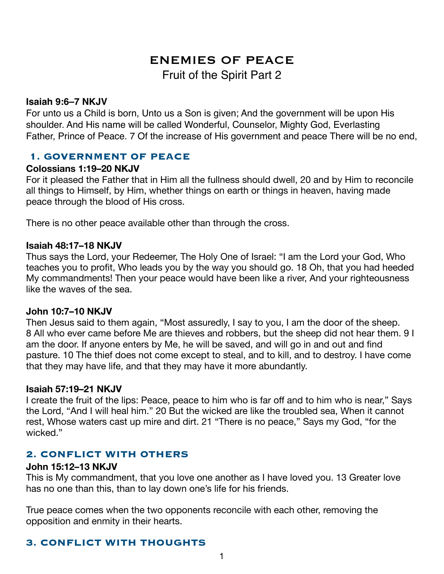# ENEMIES OF PEACE Fruit of the Spirit Part 2

#### **Isaiah 9:6–7 NKJV**

For unto us a Child is born, Unto us a Son is given; And the government will be upon His shoulder. And His name will be called Wonderful, Counselor, Mighty God, Everlasting Father, Prince of Peace. 7 Of the increase of His government and peace There will be no end,

### **1. GOVERNMENT OF PEACE**

#### **Colossians 1:19–20 NKJV**

For it pleased the Father that in Him all the fullness should dwell, 20 and by Him to reconcile all things to Himself, by Him, whether things on earth or things in heaven, having made peace through the blood of His cross.

There is no other peace available other than through the cross.

#### **Isaiah 48:17–18 NKJV**

Thus says the Lord, your Redeemer, The Holy One of Israel: "I am the Lord your God, Who teaches you to profit, Who leads you by the way you should go. 18 Oh, that you had heeded My commandments! Then your peace would have been like a river, And your righteousness like the waves of the sea.

### **John 10:7–10 NKJV**

Then Jesus said to them again, "Most assuredly, I say to you, I am the door of the sheep. 8 All who ever came before Me are thieves and robbers, but the sheep did not hear them. 9 I am the door. If anyone enters by Me, he will be saved, and will go in and out and find pasture. 10 The thief does not come except to steal, and to kill, and to destroy. I have come that they may have life, and that they may have it more abundantly.

#### **Isaiah 57:19–21 NKJV**

I create the fruit of the lips: Peace, peace to him who is far off and to him who is near," Says the Lord, "And I will heal him." 20 But the wicked are like the troubled sea, When it cannot rest, Whose waters cast up mire and dirt. 21 "There is no peace," Says my God, "for the wicked."

### **2. CONFLICT WITH OTHERS**

#### **John 15:12–13 NKJV**

This is My commandment, that you love one another as I have loved you. 13 Greater love has no one than this, than to lay down one's life for his friends.

True peace comes when the two opponents reconcile with each other, removing the opposition and enmity in their hearts.

# **3. CONFLICT WITH THOUGHTS**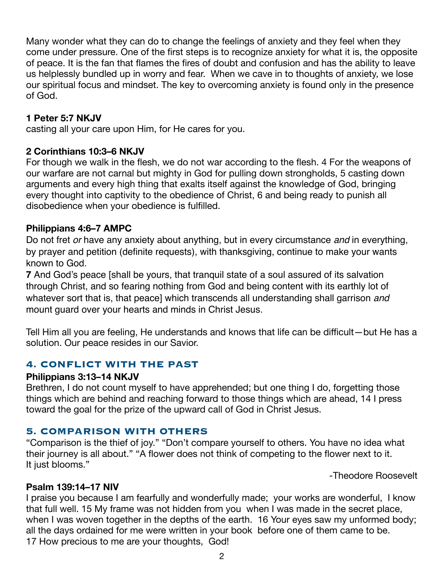Many wonder what they can do to change the feelings of anxiety and they feel when they come under pressure. One of the first steps is to recognize anxiety for what it is, the opposite of peace. It is the fan that flames the fires of doubt and confusion and has the ability to leave us helplessly bundled up in worry and fear. When we cave in to thoughts of anxiety, we lose our spiritual focus and mindset. The key to overcoming anxiety is found only in the presence of God.

## **1 Peter 5:7 NKJV**

casting all your care upon Him, for He cares for you.

# **2 Corinthians 10:3–6 NKJV**

For though we walk in the flesh, we do not war according to the flesh. 4 For the weapons of our warfare are not carnal but mighty in God for pulling down strongholds, 5 casting down arguments and every high thing that exalts itself against the knowledge of God, bringing every thought into captivity to the obedience of Christ, 6 and being ready to punish all disobedience when your obedience is fulfilled.

# **Philippians 4:6–7 AMPC**

Do not fret *or* have any anxiety about anything, but in every circumstance *and* in everything, by prayer and petition (definite requests), with thanksgiving, continue to make your wants known to God.

**7** And God's peace [shall be yours, that tranquil state of a soul assured of its salvation through Christ, and so fearing nothing from God and being content with its earthly lot of whatever sort that is, that peace] which transcends all understanding shall garrison *and* mount guard over your hearts and minds in Christ Jesus.

Tell Him all you are feeling, He understands and knows that life can be difficult—but He has a solution. Our peace resides in our Savior.

## **4. CONFLICT WITH THE PAST**

### **Philippians 3:13–14 NKJV**

Brethren, I do not count myself to have apprehended; but one thing I do, forgetting those things which are behind and reaching forward to those things which are ahead, 14 I press toward the goal for the prize of the upward call of God in Christ Jesus.

# **5. COMPARISON WITH OTHERS**

"Comparison is the thief of joy." "Don't compare yourself to others. You have no idea what their journey is all about." "A flower does not think of competing to the flower next to it. It just blooms."

-Theodore Roosevelt

## **Psalm 139:14–17 NIV**

I praise you because I am fearfully and wonderfully made; your works are wonderful, I know that full well. 15 My frame was not hidden from you when I was made in the secret place, when I was woven together in the depths of the earth. 16 Your eyes saw my unformed body; all the days ordained for me were written in your book before one of them came to be. 17 How precious to me are your thoughts, God!